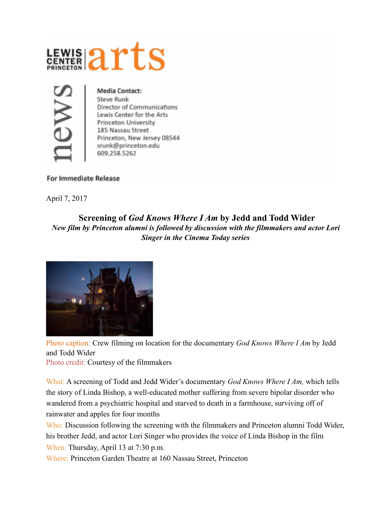



**Media Contact: Steve Runk** Director of Communications Lewis Center for the Arts Princeton University 185 Nassau Street Princeton, New Jersey 08544 srunk@princeton.edu 609.258.5262

## **For Immediate Release**

April 7, 2017

## **Screening of** *God Knows Where I Am* **by Jedd and Todd Wider**  *New film by Princeton alumni is followed by discussion with the filmmakers and actor Lori Singer in the Cinema Today series*



Photo caption: Crew filming on location for the documentary *God Knows Where I Am* by Jedd and Todd Wider

Photo credit: Courtesy of the filmmakers

What: A screening of Todd and Jedd Wider's documentary *God Knows Where I Am,* which tells the story of Linda Bishop, a well-educated mother suffering from severe bipolar disorder who wandered from a psychiatric hospital and starved to death in a farmhouse, surviving off of rainwater and apples for four months

Who: Discussion following the screening with the filmmakers and Princeton alumni Todd Wider, his brother Jedd, and actor Lori Singer who provides the voice of Linda Bishop in the film When: Thursday, April 13 at 7:30 p.m.

Where: Princeton Garden Theatre at 160 Nassau Street, Princeton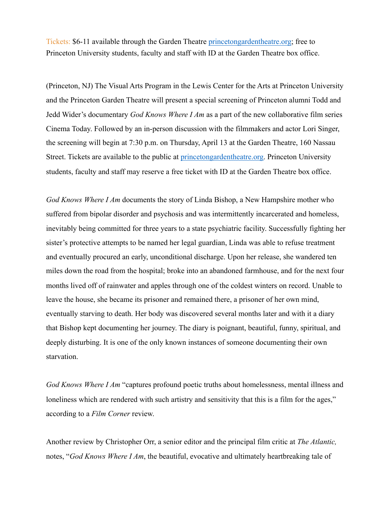Tickets: \$6-11 available through the Garden Theatre [princetongardentheatre.org](http://www.princetongardentheatre.org); free to Princeton University students, faculty and staff with ID at the Garden Theatre box office.

(Princeton, NJ) The Visual Arts Program in the Lewis Center for the Arts at Princeton University and the Princeton Garden Theatre will present a special screening of Princeton alumni Todd and Jedd Wider's documentary *God Knows Where I Am* as a part of the new collaborative film series Cinema Today. Followed by an in-person discussion with the filmmakers and actor Lori Singer, the screening will begin at 7:30 p.m. on Thursday, April 13 at the Garden Theatre, 160 Nassau Street. Tickets are available to the public at [princetongardentheatre.org.](http://www.princetongardentheatre.org) Princeton University students, faculty and staff may reserve a free ticket with ID at the Garden Theatre box office.

*God Knows Where I Am* documents the story of Linda Bishop, a New Hampshire mother who suffered from bipolar disorder and psychosis and was intermittently incarcerated and homeless, inevitably being committed for three years to a state psychiatric facility. Successfully fighting her sister's protective attempts to be named her legal guardian, Linda was able to refuse treatment and eventually procured an early, unconditional discharge. Upon her release, she wandered ten miles down the road from the hospital; broke into an abandoned farmhouse, and for the next four months lived off of rainwater and apples through one of the coldest winters on record. Unable to leave the house, she became its prisoner and remained there, a prisoner of her own mind, eventually starving to death. Her body was discovered several months later and with it a diary that Bishop kept documenting her journey. The diary is poignant, beautiful, funny, spiritual, and deeply disturbing. It is one of the only known instances of someone documenting their own starvation.

*God Knows Where I Am* "captures profound poetic truths about homelessness, mental illness and loneliness which are rendered with such artistry and sensitivity that this is a film for the ages," according to a *Film Corner* review.

Another review by Christopher Orr, a senior editor and the principal film critic at *The Atlantic,*  notes, "*God Knows Where I Am*, the beautiful, evocative and ultimately heartbreaking tale of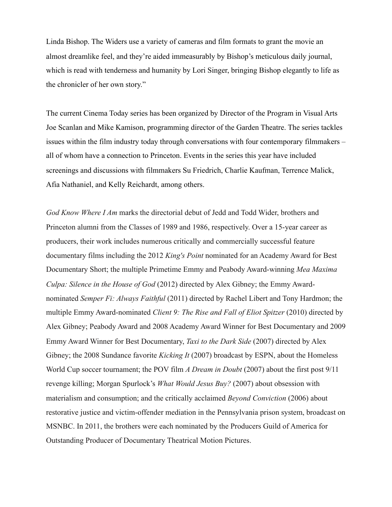Linda Bishop. The Widers use a variety of cameras and film formats to grant the movie an almost dreamlike feel, and they're aided immeasurably by Bishop's meticulous daily journal, which is read with tenderness and humanity by Lori Singer, bringing Bishop elegantly to life as the chronicler of her own story."

The current Cinema Today series has been organized by Director of the Program in Visual Arts Joe Scanlan and Mike Kamison, programming director of the Garden Theatre. The series tackles issues within the film industry today through conversations with four contemporary filmmakers – all of whom have a connection to Princeton. Events in the series this year have included screenings and discussions with filmmakers Su Friedrich, Charlie Kaufman, Terrence Malick, Afia Nathaniel, and Kelly Reichardt, among others.

*God Know Where I Am* marks the directorial debut of Jedd and Todd Wider, brothers and Princeton alumni from the Classes of 1989 and 1986, respectively. Over a 15-year career as producers, their work includes numerous critically and commercially successful feature documentary films including the 2012 *King's Point* nominated for an Academy Award for Best Documentary Short; the multiple Primetime Emmy and Peabody Award-winning *Mea Maxima Culpa: Silence in the House of God* (2012) directed by Alex Gibney; the Emmy Awardnominated *Semper Fi: Always Faithful* (2011) directed by Rachel Libert and Tony Hardmon; the multiple Emmy Award-nominated *Client 9: The Rise and Fall of Eliot Spitzer* (2010) directed by Alex Gibney; Peabody Award and 2008 Academy Award Winner for Best Documentary and 2009 Emmy Award Winner for Best Documentary, *Taxi to the Dark Side* (2007) directed by Alex Gibney; the 2008 Sundance favorite *Kicking It* (2007) broadcast by ESPN, about the Homeless World Cup soccer tournament; the POV film *A Dream in Doubt* (2007) about the first post 9/11 revenge killing; Morgan Spurlock's *What Would Jesus Buy?* (2007) about obsession with materialism and consumption; and the critically acclaimed *Beyond Conviction* (2006) about restorative justice and victim-offender mediation in the Pennsylvania prison system, broadcast on MSNBC. In 2011, the brothers were each nominated by the Producers Guild of America for Outstanding Producer of Documentary Theatrical Motion Pictures.